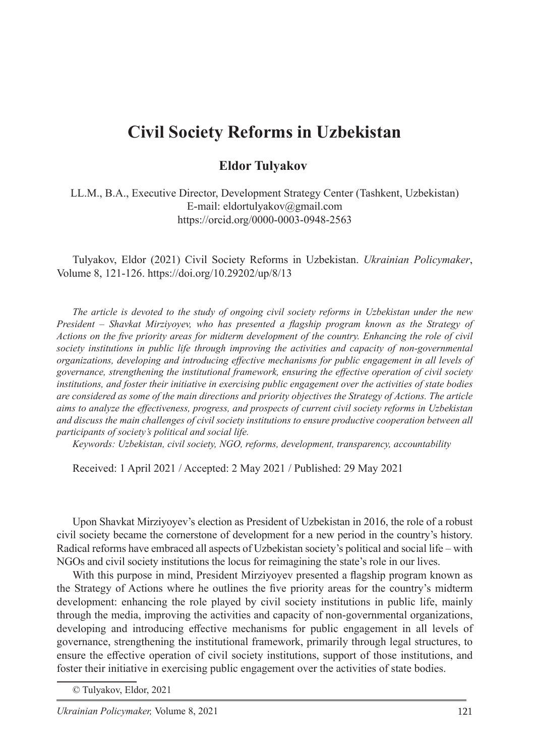## **Civil Society Reforms in Uzbekistan**

## **Eldor Tulvakov**

LL.M., B.A., Executive Director, Development Strategy Center (Tashkent, Uzbekistan) E-mail: eldortulyakov@gmail.com https://orcid.org/0000-0003-0948-2563

Tulyakov, Eldor (2021) Civil Society Reforms in Uzbekistan. *Ukrainian Policymaker*, Volume 8, 121-126. https://doi.org/10.29202/up/8/13

*The article is devoted to the study of ongoing civil society reforms in Uzbekistan under the new President – Shavkat Mirziyoyev, who has presented a flagship program known as the Strategy of Actions on the five priority areas for midterm development of the country. Enhancing the role of civil society institutions in public life through improving the activities and capacity of non-governmental organizations, developing and introducing effective mechanisms for public engagement in all levels of governance, strengthening the institutional framework, ensuring the effective operation of civil society institutions, and foster their initiative in exercising public engagement over the activities of state bodies are considered as some of the main directions and priority objectives the Strategy of Actions. The article aims to analyze the effectiveness, progress, and prospects of current civil society reforms in Uzbekistan and discuss the main challenges of civil society institutions to ensure productive cooperation between all participants of society's political and social life.*

*Keywords: Uzbekistan, civil society, NGO, reforms, development, transparency, accountability*

Received: 1 April 2021 / Accepted: 2 May 2021 / Published: 29 May 2021

Upon Shavkat Mirziyoyev's election as President of Uzbekistan in 2016, the role of a robust civil society became the cornerstone of development for a new period in the country's history. Radical reforms have embraced all aspects of Uzbekistan society's political and social life – with NGOs and civil society institutions the locus for reimagining the state's role in our lives.

With this purpose in mind, President Mirziyoyev presented a flagship program known as the Strategy of Actions where he outlines the five priority areas for the country's midterm development: enhancing the role played by civil society institutions in public life, mainly through the media, improving the activities and capacity of non-governmental organizations, developing and introducing effective mechanisms for public engagement in all levels of governance, strengthening the institutional framework, primarily through legal structures, to ensure the effective operation of civil society institutions, support of those institutions, and foster their initiative in exercising public engagement over the activities of state bodies.

<sup>©</sup> Tulyakov, Eldor, 2021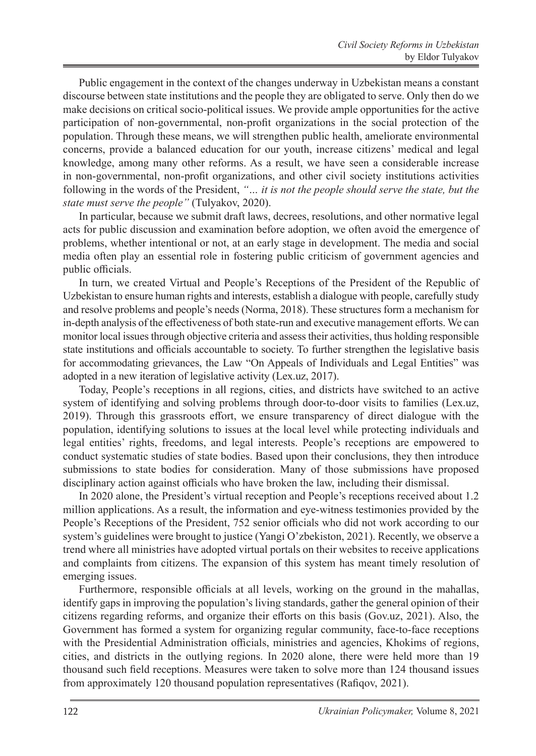Public engagement in the context of the changes underway in Uzbekistan means a constant discourse between state institutions and the people they are obligated to serve. Only then do we make decisions on critical socio-political issues. We provide ample opportunities for the active participation of non-governmental, non-profit organizations in the social protection of the population. Through these means, we will strengthen public health, ameliorate environmental concerns, provide a balanced education for our youth, increase citizens' medical and legal knowledge, among many other reforms. As a result, we have seen a considerable increase in non-governmental, non-profit organizations, and other civil society institutions activities following in the words of the President, *"… it is not the people should serve the state, but the state must serve the people"* (Tulyakov, 2020).

In particular, because we submit draft laws, decrees, resolutions, and other normative legal acts for public discussion and examination before adoption, we often avoid the emergence of problems, whether intentional or not, at an early stage in development. The media and social media often play an essential role in fostering public criticism of government agencies and public officials.

In turn, we created Virtual and People's Receptions of the President of the Republic of Uzbekistan to ensure human rights and interests, establish a dialogue with people, carefully study and resolve problems and people's needs (Norma, 2018). These structures form a mechanism for in-depth analysis of the effectiveness of both state-run and executive management efforts. We can monitor local issues through objective criteria and assess their activities, thus holding responsible state institutions and officials accountable to society. To further strengthen the legislative basis for accommodating grievances, the Law "On Appeals of Individuals and Legal Entities" was adopted in a new iteration of legislative activity (Lex.uz, 2017).

Today, People's receptions in all regions, cities, and districts have switched to an active system of identifying and solving problems through door-to-door visits to families (Lex.uz, 2019). Through this grassroots effort, we ensure transparency of direct dialogue with the population, identifying solutions to issues at the local level while protecting individuals and legal entities' rights, freedoms, and legal interests. People's receptions are empowered to conduct systematic studies of state bodies. Based upon their conclusions, they then introduce submissions to state bodies for consideration. Many of those submissions have proposed disciplinary action against officials who have broken the law, including their dismissal.

In 2020 alone, the President's virtual reception and People's receptions received about 1.2 million applications. As a result, the information and eye-witness testimonies provided by the People's Receptions of the President, 752 senior officials who did not work according to our system's guidelines were brought to justice (Yangi O'zbekiston, 2021). Recently, we observe a trend where all ministries have adopted virtual portals on their websites to receive applications and complaints from citizens. The expansion of this system has meant timely resolution of emerging issues.

Furthermore, responsible officials at all levels, working on the ground in the mahallas, identify gaps in improving the population's living standards, gather the general opinion of their citizens regarding reforms, and organize their efforts on this basis (Gov.uz, 2021). Also, the Government has formed a system for organizing regular community, face-to-face receptions with the Presidential Administration officials, ministries and agencies, Khokims of regions, cities, and districts in the outlying regions. In 2020 alone, there were held more than 19 thousand such field receptions. Measures were taken to solve more than 124 thousand issues from approximately 120 thousand population representatives (Rafiqov, 2021).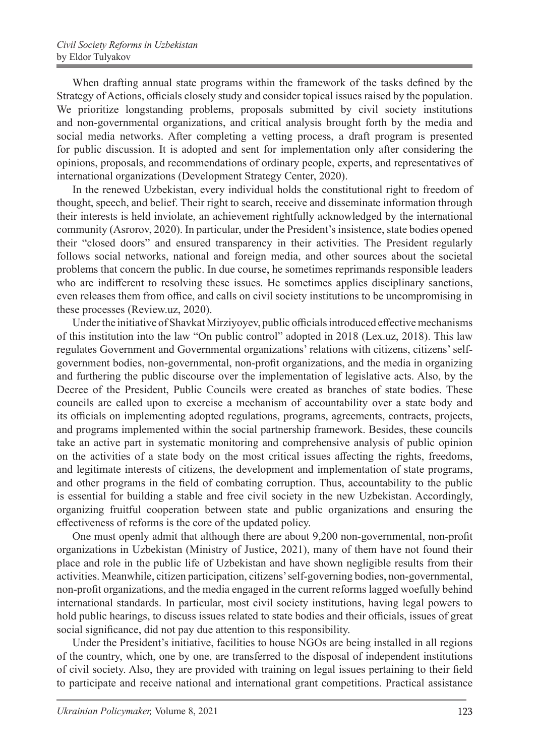When drafting annual state programs within the framework of the tasks defined by the Strategy of Actions, officials closely study and consider topical issues raised by the population. We prioritize longstanding problems, proposals submitted by civil society institutions and non-governmental organizations, and critical analysis brought forth by the media and social media networks. After completing a vetting process, a draft program is presented for public discussion. It is adopted and sent for implementation only after considering the opinions, proposals, and recommendations of ordinary people, experts, and representatives of international organizations (Development Strategy Center, 2020).

In the renewed Uzbekistan, every individual holds the constitutional right to freedom of thought, speech, and belief. Their right to search, receive and disseminate information through their interests is held inviolate, an achievement rightfully acknowledged by the international community (Asrorov, 2020). In particular, under the President's insistence, state bodies opened their "closed doors" and ensured transparency in their activities. The President regularly follows social networks, national and foreign media, and other sources about the societal problems that concern the public. In due course, he sometimes reprimands responsible leaders who are indifferent to resolving these issues. He sometimes applies disciplinary sanctions, even releases them from office, and calls on civil society institutions to be uncompromising in these processes (Review.uz, 2020).

Under the initiative of Shavkat Mirziyoyev, public officials introduced effective mechanisms of this institution into the law "On public control" adopted in 2018 (Lex.uz, 2018). This law regulates Government and Governmental organizations' relations with citizens, citizens' selfgovernment bodies, non-governmental, non-profit organizations, and the media in organizing and furthering the public discourse over the implementation of legislative acts. Also, by the Decree of the President, Public Councils were created as branches of state bodies. These councils are called upon to exercise a mechanism of accountability over a state body and its officials on implementing adopted regulations, programs, agreements, contracts, projects, and programs implemented within the social partnership framework. Besides, these councils take an active part in systematic monitoring and comprehensive analysis of public opinion on the activities of a state body on the most critical issues affecting the rights, freedoms, and legitimate interests of citizens, the development and implementation of state programs, and other programs in the field of combating corruption. Thus, accountability to the public is essential for building a stable and free civil society in the new Uzbekistan. Accordingly, organizing fruitful cooperation between state and public organizations and ensuring the effectiveness of reforms is the core of the updated policy.

One must openly admit that although there are about 9,200 non-governmental, non-profit organizations in Uzbekistan (Ministry of Justice, 2021), many of them have not found their place and role in the public life of Uzbekistan and have shown negligible results from their activities. Meanwhile, citizen participation, citizens' self-governing bodies, non-governmental, non-profit organizations, and the media engaged in the current reforms lagged woefully behind international standards. In particular, most civil society institutions, having legal powers to hold public hearings, to discuss issues related to state bodies and their officials, issues of great social significance, did not pay due attention to this responsibility.

Under the President's initiative, facilities to house NGOs are being installed in all regions of the country, which, one by one, are transferred to the disposal of independent institutions of civil society. Also, they are provided with training on legal issues pertaining to their field to participate and receive national and international grant competitions. Practical assistance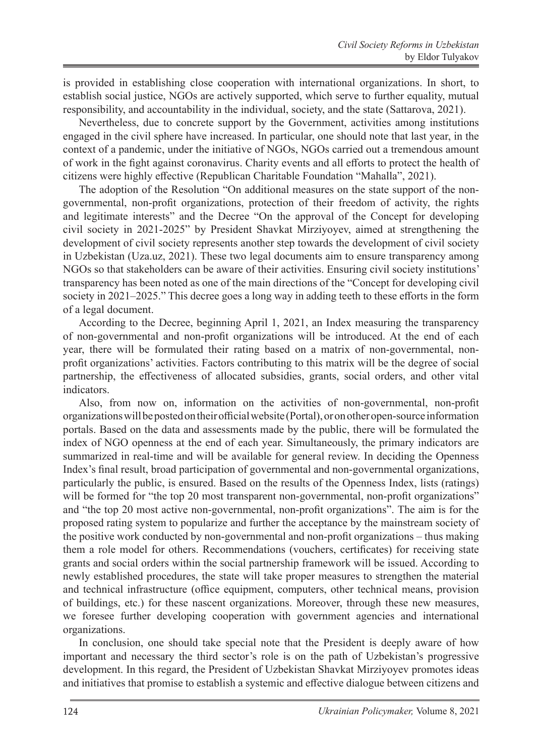is provided in establishing close cooperation with international organizations. In short, to establish social justice, NGOs are actively supported, which serve to further equality, mutual responsibility, and accountability in the individual, society, and the state (Sattarova, 2021).

Nevertheless, due to concrete support by the Government, activities among institutions engaged in the civil sphere have increased. In particular, one should note that last year, in the context of a pandemic, under the initiative of NGOs, NGOs carried out a tremendous amount of work in the fight against coronavirus. Charity events and all efforts to protect the health of citizens were highly effective (Republican Charitable Foundation "Mahalla", 2021).

The adoption of the Resolution "On additional measures on the state support of the nongovernmental, non-profit organizations, protection of their freedom of activity, the rights and legitimate interests" and the Decree "On the approval of the Concept for developing civil society in 2021-2025" by President Shavkat Mirziyoyev, aimed at strengthening the development of civil society represents another step towards the development of civil society in Uzbekistan (Uza.uz, 2021). These two legal documents aim to ensure transparency among NGOs so that stakeholders can be aware of their activities. Ensuring civil society institutions' transparency has been noted as one of the main directions of the "Concept for developing civil society in 2021–2025." This decree goes a long way in adding teeth to these efforts in the form of a legal document.

According to the Decree, beginning April 1, 2021, an Index measuring the transparency of non-governmental and non-profit organizations will be introduced. At the end of each year, there will be formulated their rating based on a matrix of non-governmental, nonprofit organizations' activities. Factors contributing to this matrix will be the degree of social partnership, the effectiveness of allocated subsidies, grants, social orders, and other vital indicators.

Also, from now on, information on the activities of non-governmental, non-profit organizations will be posted on their official website (Portal), or on other open-source information portals. Based on the data and assessments made by the public, there will be formulated the index of NGO openness at the end of each year. Simultaneously, the primary indicators are summarized in real-time and will be available for general review. In deciding the Openness Index's final result, broad participation of governmental and non-governmental organizations, particularly the public, is ensured. Based on the results of the Openness Index, lists (ratings) will be formed for "the top 20 most transparent non-governmental, non-profit organizations" and "the top 20 most active non-governmental, non-profit organizations". The aim is for the proposed rating system to popularize and further the acceptance by the mainstream society of the positive work conducted by non-governmental and non-profit organizations – thus making them a role model for others. Recommendations (vouchers, certificates) for receiving state grants and social orders within the social partnership framework will be issued. According to newly established procedures, the state will take proper measures to strengthen the material and technical infrastructure (office equipment, computers, other technical means, provision of buildings, etc.) for these nascent organizations. Moreover, through these new measures, we foresee further developing cooperation with government agencies and international organizations.

In conclusion, one should take special note that the President is deeply aware of how important and necessary the third sector's role is on the path of Uzbekistan's progressive development. In this regard, the President of Uzbekistan Shavkat Mirziyoyev promotes ideas and initiatives that promise to establish a systemic and effective dialogue between citizens and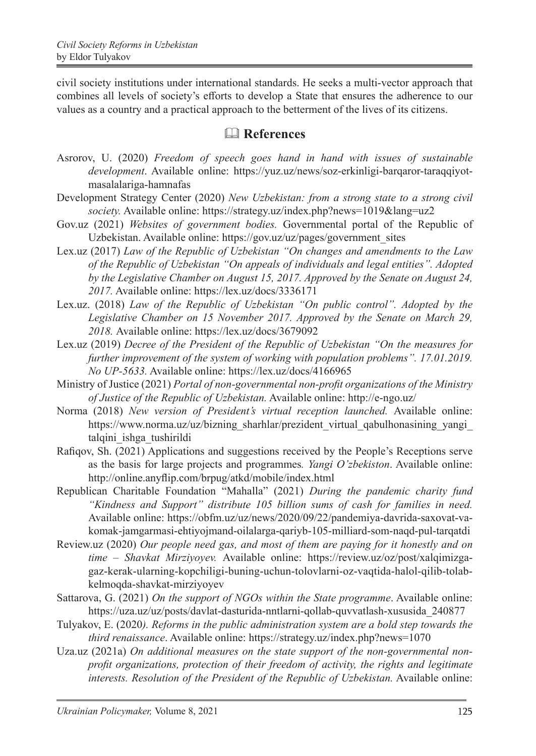civil society institutions under international standards. He seeks a multi-vector approach that combines all levels of society's efforts to develop a State that ensures the adherence to our values as a country and a practical approach to the betterment of the lives of its citizens.

## & **References**

- Asrorov, U. (2020) *Freedom of speech goes hand in hand with issues of sustainable development*. Available online: https://yuz.uz/news/soz-erkinligi-barqaror-taraqqiyotmasalalariga-hamnafas
- Development Strategy Center (2020) *New Uzbekistan: from a strong state to a strong civil society.* Available online: https://strategy.uz/index.php?news=1019&lang=uz2
- Gov.uz (2021) *Websites of government bodies.* Governmental portal of the Republic of Uzbekistan. Available online: https://gov.uz/uz/pages/government\_sites
- Lex.uz (2017) *Law of the Republic of Uzbekistan "On changes and amendments to the Law of the Republic of Uzbekistan "On appeals of individuals and legal entities". Adopted by the Legislative Chamber on August 15, 2017. Approved by the Senate on August 24, 2017.* Available online: https://lex.uz/docs/3336171
- Lex.uz. (2018) *Law of the Republic of Uzbekistan "On public control". Adopted by the Legislative Chamber on 15 November 2017. Approved by the Senate on March 29, 2018.* Available online: https://lex.uz/docs/3679092
- Lex.uz (2019) *Decree of the President of the Republic of Uzbekistan "On the measures for further improvement of the system of working with population problems". 17.01.2019. No UP-5633.* Available online: https://lex.uz/docs/4166965
- Ministry of Justice (2021) *Portal of non-governmental non-profit organizations of the Ministry of Justice of the Republic of Uzbekistan.* Available online: http://e-ngo.uz/
- Norma (2018) *New version of President's virtual reception launched.* Available online: https://www.norma.uz/uz/bizning\_sharhlar/prezident\_virtual\_qabulhonasining\_yangi talqini\_ishga\_tushirildi
- Rafiqov, Sh. (2021) Applications and suggestions received by the People's Receptions serve as the basis for large projects and programmes*. Yangi O'zbekiston*. Available online: http://online.anyflip.com/brpug/atkd/mobile/index.html
- Republican Charitable Foundation "Mahalla" (2021) *During the pandemic charity fund "Kindness and Support" distribute 105 billion sums of cash for families in need.*  Available online: https://obfm.uz/uz/news/2020/09/22/pandemiya-davrida-saxovat-vakomak-jamgarmasi-ehtiyojmand-oilalarga-qariyb-105-milliard-som-naqd-pul-tarqatdi
- Review.uz (2020) *Our people need gas, and most of them are paying for it honestly and on time – Shavkat Mirziyoyev.* Available online: https://review.uz/oz/post/xalqimizgagaz-kerak-ularning-kopchiligi-buning-uchun-tolovlarni-oz-vaqtida-halol-qilib-tolabkelmoqda-shavkat-mirziyoyev
- Sattarova, G. (2021) *On the support of NGOs within the State programme*. Available online: https://uza.uz/uz/posts/davlat-dasturida-nntlarni-qollab-quvvatlash-xususida\_240877
- Tulyakov, E. (2020*). Reforms in the public administration system are a bold step towards the third renaissance*. Available online: https://strategy.uz/index.php?news=1070
- Uza.uz (2021a) *On additional measures on the state support of the non-governmental nonprofit organizations, protection of their freedom of activity, the rights and legitimate interests. Resolution of the President of the Republic of Uzbekistan.* Available online: